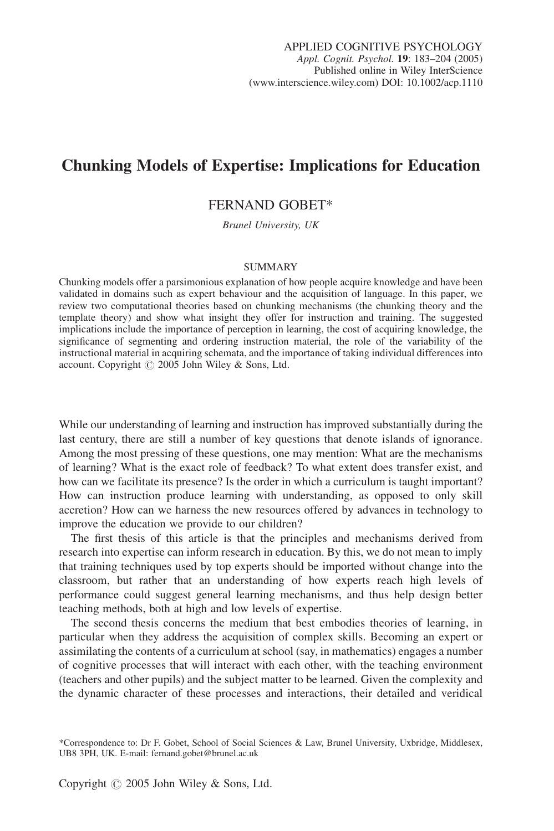# Chunking Models of Expertise: Implications for Education

## FERNAND GOBET\*

Brunel University, UK

#### SUMMARY

Chunking models offer a parsimonious explanation of how people acquire knowledge and have been validated in domains such as expert behaviour and the acquisition of language. In this paper, we review two computational theories based on chunking mechanisms (the chunking theory and the template theory) and show what insight they offer for instruction and training. The suggested implications include the importance of perception in learning, the cost of acquiring knowledge, the significance of segmenting and ordering instruction material, the role of the variability of the instructional material in acquiring schemata, and the importance of taking individual differences into account. Copyright  $\odot$  2005 John Wiley & Sons, Ltd.

While our understanding of learning and instruction has improved substantially during the last century, there are still a number of key questions that denote islands of ignorance. Among the most pressing of these questions, one may mention: What are the mechanisms of learning? What is the exact role of feedback? To what extent does transfer exist, and how can we facilitate its presence? Is the order in which a curriculum is taught important? How can instruction produce learning with understanding, as opposed to only skill accretion? How can we harness the new resources offered by advances in technology to improve the education we provide to our children?

The first thesis of this article is that the principles and mechanisms derived from research into expertise can inform research in education. By this, we do not mean to imply that training techniques used by top experts should be imported without change into the classroom, but rather that an understanding of how experts reach high levels of performance could suggest general learning mechanisms, and thus help design better teaching methods, both at high and low levels of expertise.

The second thesis concerns the medium that best embodies theories of learning, in particular when they address the acquisition of complex skills. Becoming an expert or assimilating the contents of a curriculum at school (say, in mathematics) engages a number of cognitive processes that will interact with each other, with the teaching environment (teachers and other pupils) and the subject matter to be learned. Given the complexity and the dynamic character of these processes and interactions, their detailed and veridical

<sup>\*</sup>Correspondence to: Dr F. Gobet, School of Social Sciences & Law, Brunel University, Uxbridge, Middlesex, UB8 3PH, UK. E-mail: fernand.gobet@brunel.ac.uk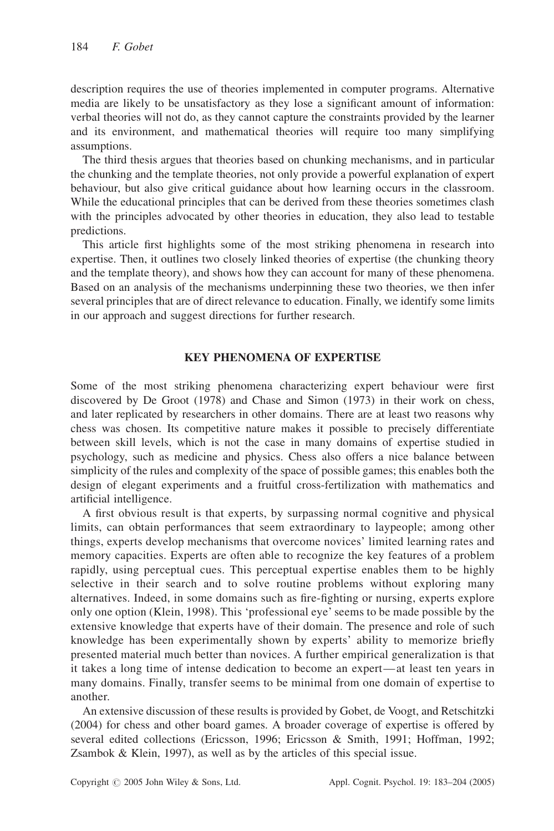description requires the use of theories implemented in computer programs. Alternative media are likely to be unsatisfactory as they lose a significant amount of information: verbal theories will not do, as they cannot capture the constraints provided by the learner and its environment, and mathematical theories will require too many simplifying assumptions.

The third thesis argues that theories based on chunking mechanisms, and in particular the chunking and the template theories, not only provide a powerful explanation of expert behaviour, but also give critical guidance about how learning occurs in the classroom. While the educational principles that can be derived from these theories sometimes clash with the principles advocated by other theories in education, they also lead to testable predictions.

This article first highlights some of the most striking phenomena in research into expertise. Then, it outlines two closely linked theories of expertise (the chunking theory and the template theory), and shows how they can account for many of these phenomena. Based on an analysis of the mechanisms underpinning these two theories, we then infer several principles that are of direct relevance to education. Finally, we identify some limits in our approach and suggest directions for further research.

## KEY PHENOMENA OF EXPERTISE

Some of the most striking phenomena characterizing expert behaviour were first discovered by De Groot (1978) and Chase and Simon (1973) in their work on chess, and later replicated by researchers in other domains. There are at least two reasons why chess was chosen. Its competitive nature makes it possible to precisely differentiate between skill levels, which is not the case in many domains of expertise studied in psychology, such as medicine and physics. Chess also offers a nice balance between simplicity of the rules and complexity of the space of possible games; this enables both the design of elegant experiments and a fruitful cross-fertilization with mathematics and artificial intelligence.

A first obvious result is that experts, by surpassing normal cognitive and physical limits, can obtain performances that seem extraordinary to laypeople; among other things, experts develop mechanisms that overcome novices' limited learning rates and memory capacities. Experts are often able to recognize the key features of a problem rapidly, using perceptual cues. This perceptual expertise enables them to be highly selective in their search and to solve routine problems without exploring many alternatives. Indeed, in some domains such as fire-fighting or nursing, experts explore only one option (Klein, 1998). This 'professional eye' seems to be made possible by the extensive knowledge that experts have of their domain. The presence and role of such knowledge has been experimentally shown by experts' ability to memorize briefly presented material much better than novices. A further empirical generalization is that it takes a long time of intense dedication to become an expert—at least ten years in many domains. Finally, transfer seems to be minimal from one domain of expertise to another.

An extensive discussion of these results is provided by Gobet, de Voogt, and Retschitzki (2004) for chess and other board games. A broader coverage of expertise is offered by several edited collections (Ericsson, 1996; Ericsson & Smith, 1991; Hoffman, 1992; Zsambok & Klein, 1997), as well as by the articles of this special issue.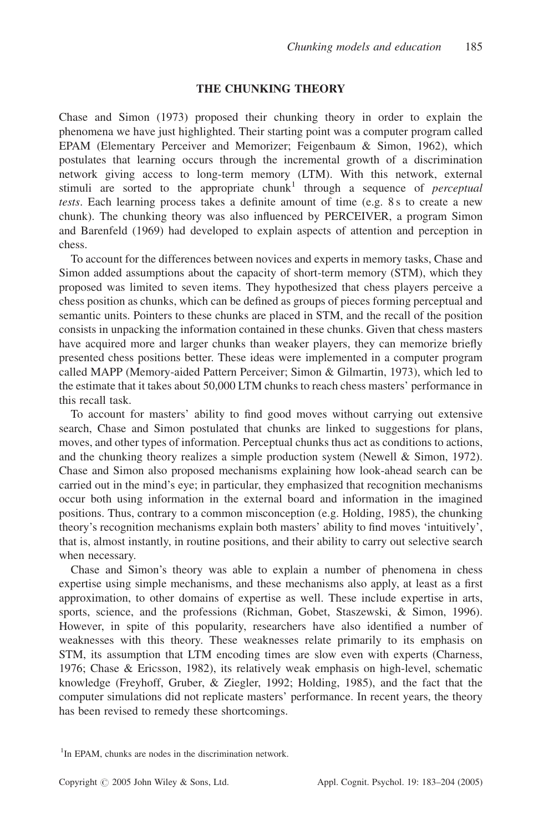## THE CHUNKING THEORY

Chase and Simon (1973) proposed their chunking theory in order to explain the phenomena we have just highlighted. Their starting point was a computer program called EPAM (Elementary Perceiver and Memorizer; Feigenbaum & Simon, 1962), which postulates that learning occurs through the incremental growth of a discrimination network giving access to long-term memory (LTM). With this network, external stimuli are sorted to the appropriate chunk<sup>1</sup> through a sequence of *perceptual* tests. Each learning process takes a definite amount of time (e.g. 8 s to create a new chunk). The chunking theory was also influenced by PERCEIVER, a program Simon and Barenfeld (1969) had developed to explain aspects of attention and perception in chess.

To account for the differences between novices and experts in memory tasks, Chase and Simon added assumptions about the capacity of short-term memory (STM), which they proposed was limited to seven items. They hypothesized that chess players perceive a chess position as chunks, which can be defined as groups of pieces forming perceptual and semantic units. Pointers to these chunks are placed in STM, and the recall of the position consists in unpacking the information contained in these chunks. Given that chess masters have acquired more and larger chunks than weaker players, they can memorize briefly presented chess positions better. These ideas were implemented in a computer program called MAPP (Memory-aided Pattern Perceiver; Simon & Gilmartin, 1973), which led to the estimate that it takes about 50,000 LTM chunks to reach chess masters' performance in this recall task.

To account for masters' ability to find good moves without carrying out extensive search, Chase and Simon postulated that chunks are linked to suggestions for plans, moves, and other types of information. Perceptual chunks thus act as conditions to actions, and the chunking theory realizes a simple production system (Newell  $& Simon, 1972$ ). Chase and Simon also proposed mechanisms explaining how look-ahead search can be carried out in the mind's eye; in particular, they emphasized that recognition mechanisms occur both using information in the external board and information in the imagined positions. Thus, contrary to a common misconception (e.g. Holding, 1985), the chunking theory's recognition mechanisms explain both masters' ability to find moves 'intuitively', that is, almost instantly, in routine positions, and their ability to carry out selective search when necessary.

Chase and Simon's theory was able to explain a number of phenomena in chess expertise using simple mechanisms, and these mechanisms also apply, at least as a first approximation, to other domains of expertise as well. These include expertise in arts, sports, science, and the professions (Richman, Gobet, Staszewski, & Simon, 1996). However, in spite of this popularity, researchers have also identified a number of weaknesses with this theory. These weaknesses relate primarily to its emphasis on STM, its assumption that LTM encoding times are slow even with experts (Charness, 1976; Chase & Ericsson, 1982), its relatively weak emphasis on high-level, schematic knowledge (Freyhoff, Gruber, & Ziegler, 1992; Holding, 1985), and the fact that the computer simulations did not replicate masters' performance. In recent years, the theory has been revised to remedy these shortcomings.

<sup>&</sup>lt;sup>1</sup>In EPAM, chunks are nodes in the discrimination network.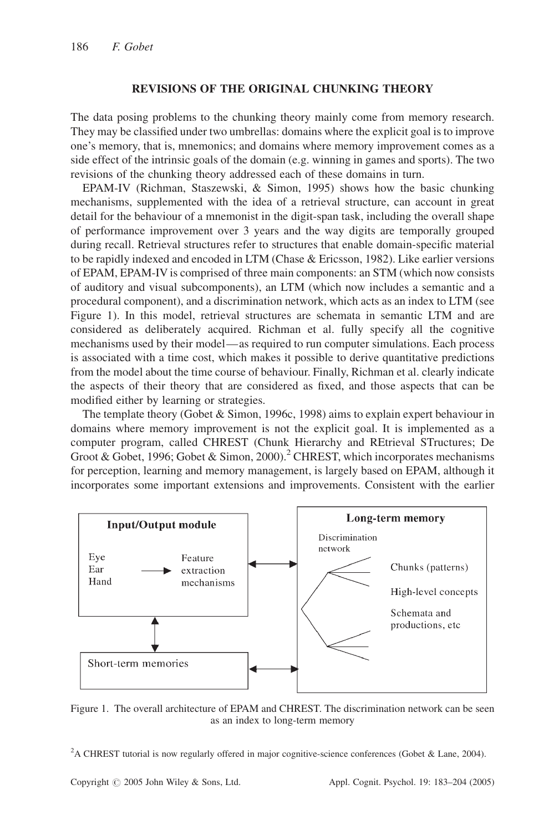## REVISIONS OF THE ORIGINAL CHUNKING THEORY

The data posing problems to the chunking theory mainly come from memory research. They may be classified under two umbrellas: domains where the explicit goal is to improve one's memory, that is, mnemonics; and domains where memory improvement comes as a side effect of the intrinsic goals of the domain (e.g. winning in games and sports). The two revisions of the chunking theory addressed each of these domains in turn.

EPAM-IV (Richman, Staszewski, & Simon, 1995) shows how the basic chunking mechanisms, supplemented with the idea of a retrieval structure, can account in great detail for the behaviour of a mnemonist in the digit-span task, including the overall shape of performance improvement over 3 years and the way digits are temporally grouped during recall. Retrieval structures refer to structures that enable domain-specific material to be rapidly indexed and encoded in LTM (Chase & Ericsson, 1982). Like earlier versions of EPAM, EPAM-IV is comprised of three main components: an STM (which now consists of auditory and visual subcomponents), an LTM (which now includes a semantic and a procedural component), and a discrimination network, which acts as an index to LTM (see Figure 1). In this model, retrieval structures are schemata in semantic LTM and are considered as deliberately acquired. Richman et al. fully specify all the cognitive mechanisms used by their model—as required to run computer simulations. Each process is associated with a time cost, which makes it possible to derive quantitative predictions from the model about the time course of behaviour. Finally, Richman et al. clearly indicate the aspects of their theory that are considered as fixed, and those aspects that can be modified either by learning or strategies.

The template theory (Gobet & Simon, 1996c, 1998) aims to explain expert behaviour in domains where memory improvement is not the explicit goal. It is implemented as a computer program, called CHREST (Chunk Hierarchy and REtrieval STructures; De Groot & Gobet, 1996; Gobet & Simon, 2000).<sup>2</sup> CHREST, which incorporates mechanisms for perception, learning and memory management, is largely based on EPAM, although it incorporates some important extensions and improvements. Consistent with the earlier



Figure 1. The overall architecture of EPAM and CHREST. The discrimination network can be seen as an index to long-term memory

<sup>2</sup>A CHREST tutorial is now regularly offered in major cognitive-science conferences (Gobet & Lane, 2004).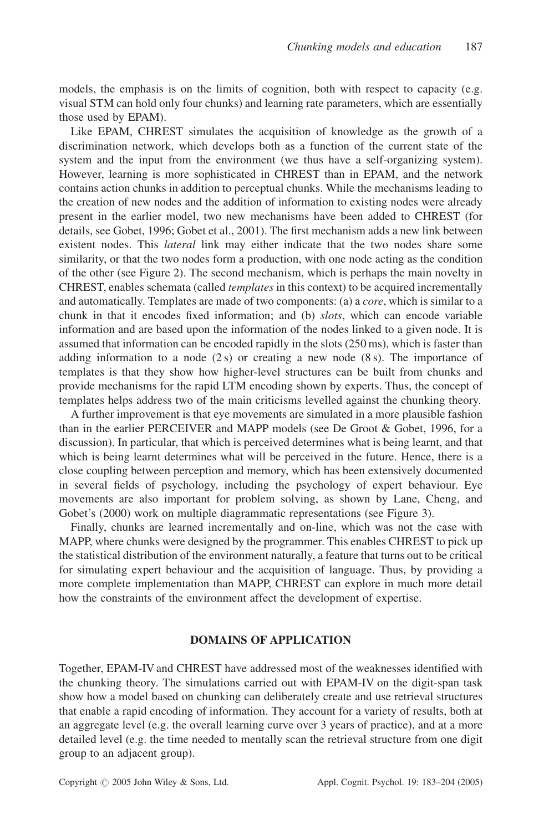models, the emphasis is on the limits of cognition, both with respect to capacity (e.g. visual STM can hold only four chunks) and learning rate parameters, which are essentially those used by EPAM).

Like EPAM, CHREST simulates the acquisition of knowledge as the growth of a discrimination network, which develops both as a function of the current state of the system and the input from the environment (we thus have a self-organizing system). However, learning is more sophisticated in CHREST than in EPAM, and the network contains action chunks in addition to perceptual chunks. While the mechanisms leading to the creation of new nodes and the addition of information to existing nodes were already present in the earlier model, two new mechanisms have been added to CHREST (for details, see Gobet, 1996; Gobet et al., 2001). The first mechanism adds a new link between existent nodes. This *lateral* link may either indicate that the two nodes share some similarity, or that the two nodes form a production, with one node acting as the condition of the other (see Figure 2). The second mechanism, which is perhaps the main novelty in CHREST, enables schemata (called *templates* in this context) to be acquired incrementally and automatically. Templates are made of two components: (a) a *core*, which is similar to a chunk in that it encodes fixed information; and (b) *slots*, which can encode variable information and are based upon the information of the nodes linked to a given node. It is assumed that information can be encoded rapidly in the slots (250 ms), which is faster than adding information to a node  $(2 s)$  or creating a new node  $(8 s)$ . The importance of templates is that they show how higher-level structures can be built from chunks and provide mechanisms for the rapid LTM encoding shown by experts. Thus, the concept of templates helps address two of the main criticisms levelled against the chunking theory.

A further improvement is that eye movements are simulated in a more plausible fashion than in the earlier PERCEIVER and MAPP models (see De Groot & Gobet, 1996, for a discussion). In particular, that which is perceived determines what is being learnt, and that which is being learnt determines what will be perceived in the future. Hence, there is a close coupling between perception and memory, which has been extensively documented in several fields of psychology, including the psychology of expert behaviour. Eye movements are also important for problem solving, as shown by Lane, Cheng, and Gobet's (2000) work on multiple diagrammatic representations (see Figure 3).

Finally, chunks are learned incrementally and on-line, which was not the case with MAPP, where chunks were designed by the programmer. This enables CHREST to pick up the statistical distribution of the environment naturally, a feature that turns out to be critical for simulating expert behaviour and the acquisition of language. Thus, by providing a more complete implementation than MAPP, CHREST can explore in much more detail how the constraints of the environment affect the development of expertise.

## DOMAINS OF APPLICATION

Together, EPAM-IV and CHREST have addressed most of the weaknesses identified with the chunking theory. The simulations carried out with EPAM-IV on the digit-span task show how a model based on chunking can deliberately create and use retrieval structures that enable a rapid encoding of information. They account for a variety of results, both at an aggregate level (e.g. the overall learning curve over 3 years of practice), and at a more detailed level (e.g. the time needed to mentally scan the retrieval structure from one digit group to an adjacent group).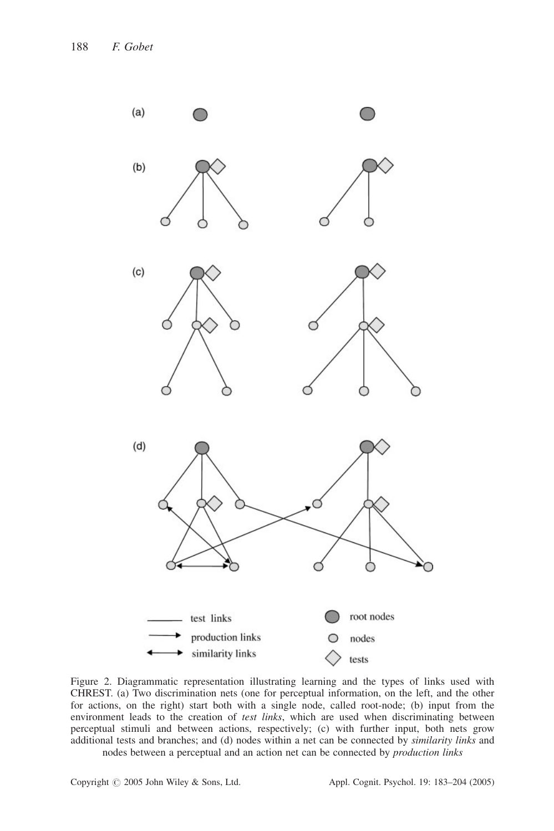

Figure 2. Diagrammatic representation illustrating learning and the types of links used with CHREST. (a) Two discrimination nets (one for perceptual information, on the left, and the other for actions, on the right) start both with a single node, called root-node; (b) input from the environment leads to the creation of test links, which are used when discriminating between perceptual stimuli and between actions, respectively; (c) with further input, both nets grow additional tests and branches; and (d) nodes within a net can be connected by similarity links and nodes between a perceptual and an action net can be connected by production links

Copyright  $\odot$  2005 John Wiley & Sons, Ltd. Appl. Cognit. Psychol. 19: 183–204 (2005)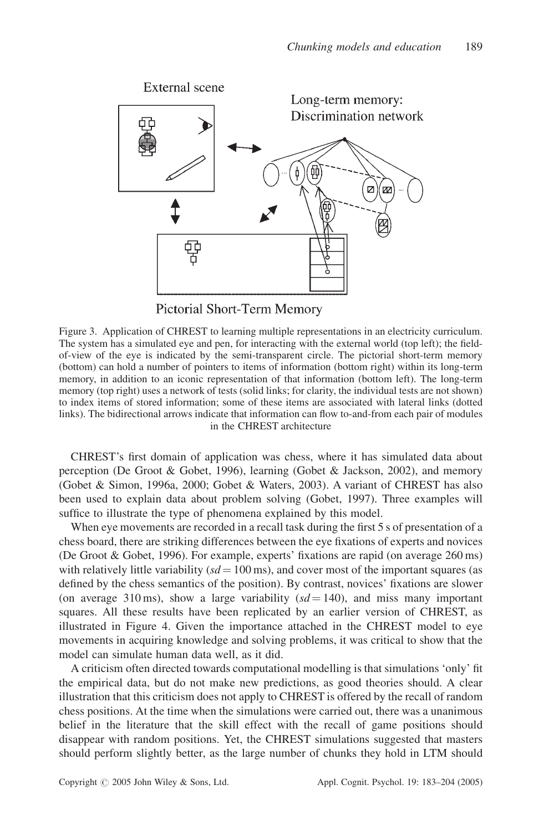



Figure 3. Application of CHREST to learning multiple representations in an electricity curriculum. The system has a simulated eye and pen, for interacting with the external world (top left); the fieldof-view of the eye is indicated by the semi-transparent circle. The pictorial short-term memory (bottom) can hold a number of pointers to items of information (bottom right) within its long-term memory, in addition to an iconic representation of that information (bottom left). The long-term memory (top right) uses a network of tests (solid links; for clarity, the individual tests are not shown) to index items of stored information; some of these items are associated with lateral links (dotted links). The bidirectional arrows indicate that information can flow to-and-from each pair of modules in the CHREST architecture

CHREST's first domain of application was chess, where it has simulated data about perception (De Groot & Gobet, 1996), learning (Gobet & Jackson, 2002), and memory (Gobet & Simon, 1996a, 2000; Gobet & Waters, 2003). A variant of CHREST has also been used to explain data about problem solving (Gobet, 1997). Three examples will suffice to illustrate the type of phenomena explained by this model.

When eye movements are recorded in a recall task during the first 5 s of presentation of a chess board, there are striking differences between the eye fixations of experts and novices (De Groot & Gobet, 1996). For example, experts' fixations are rapid (on average 260 ms) with relatively little variability ( $sd = 100$  ms), and cover most of the important squares (as defined by the chess semantics of the position). By contrast, novices' fixations are slower (on average 310 ms), show a large variability  $(sd = 140)$ , and miss many important squares. All these results have been replicated by an earlier version of CHREST, as illustrated in Figure 4. Given the importance attached in the CHREST model to eye movements in acquiring knowledge and solving problems, it was critical to show that the model can simulate human data well, as it did.

A criticism often directed towards computational modelling is that simulations 'only' fit the empirical data, but do not make new predictions, as good theories should. A clear illustration that this criticism does not apply to CHREST is offered by the recall of random chess positions. At the time when the simulations were carried out, there was a unanimous belief in the literature that the skill effect with the recall of game positions should disappear with random positions. Yet, the CHREST simulations suggested that masters should perform slightly better, as the large number of chunks they hold in LTM should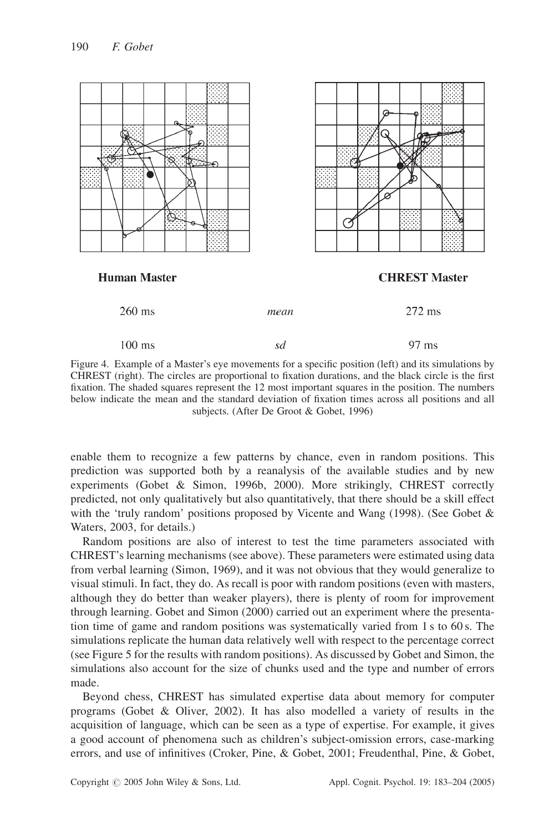

**CHREST Master** 

| 260 ms           | mean | $272$ ms |
|------------------|------|----------|
| $100 \text{ ms}$ | sd   | 97 ms    |

Figure 4. Example of a Master's eye movements for a specific position (left) and its simulations by CHREST (right). The circles are proportional to fixation durations, and the black circle is the first fixation. The shaded squares represent the 12 most important squares in the position. The numbers below indicate the mean and the standard deviation of fixation times across all positions and all subjects. (After De Groot & Gobet, 1996)

enable them to recognize a few patterns by chance, even in random positions. This prediction was supported both by a reanalysis of the available studies and by new experiments (Gobet & Simon, 1996b, 2000). More strikingly, CHREST correctly predicted, not only qualitatively but also quantitatively, that there should be a skill effect with the 'truly random' positions proposed by Vicente and Wang (1998). (See Gobet & Waters, 2003, for details.)

Random positions are also of interest to test the time parameters associated with CHREST's learning mechanisms (see above). These parameters were estimated using data from verbal learning (Simon, 1969), and it was not obvious that they would generalize to visual stimuli. In fact, they do. As recall is poor with random positions (even with masters, although they do better than weaker players), there is plenty of room for improvement through learning. Gobet and Simon (2000) carried out an experiment where the presentation time of game and random positions was systematically varied from 1 s to 60 s. The simulations replicate the human data relatively well with respect to the percentage correct (see Figure 5 for the results with random positions). As discussed by Gobet and Simon, the simulations also account for the size of chunks used and the type and number of errors made.

Beyond chess, CHREST has simulated expertise data about memory for computer programs (Gobet & Oliver, 2002). It has also modelled a variety of results in the acquisition of language, which can be seen as a type of expertise. For example, it gives a good account of phenomena such as children's subject-omission errors, case-marking errors, and use of infinitives (Croker, Pine, & Gobet, 2001; Freudenthal, Pine, & Gobet,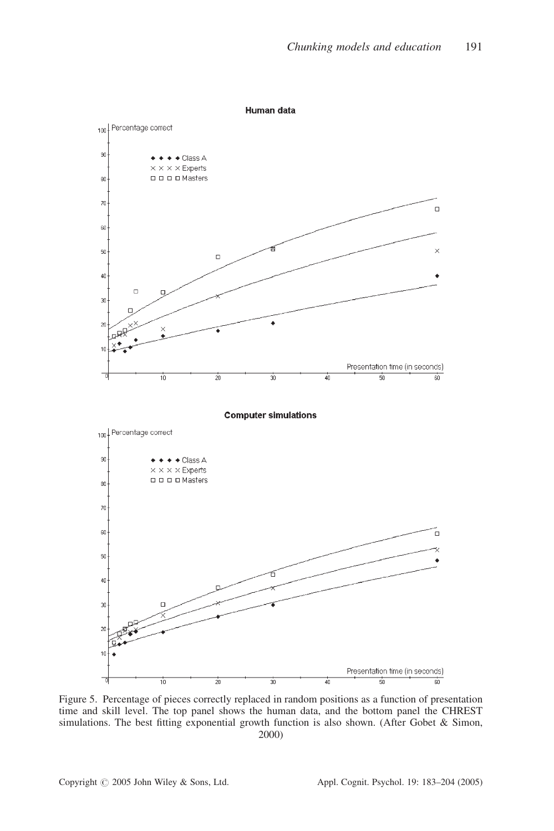

Figure 5. Percentage of pieces correctly replaced in random positions as a function of presentation time and skill level. The top panel shows the human data, and the bottom panel the CHREST simulations. The best fitting exponential growth function is also shown. (After Gobet & Simon, 2000)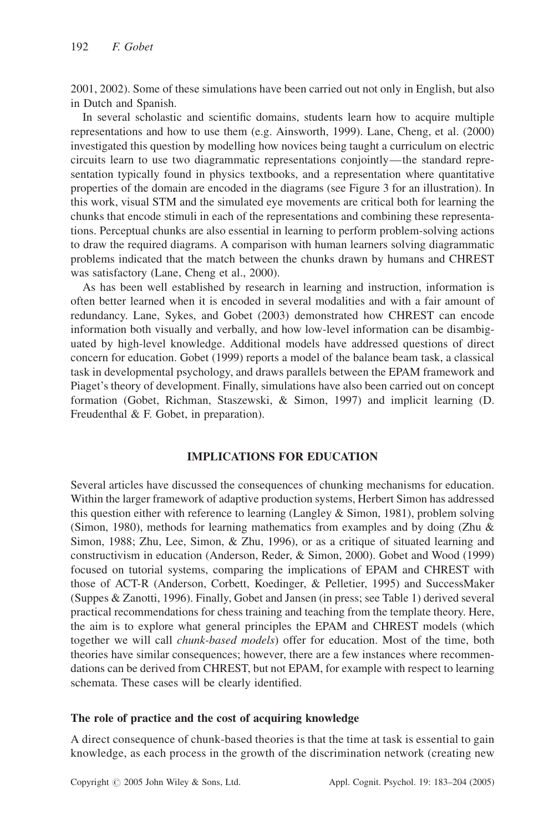2001, 2002). Some of these simulations have been carried out not only in English, but also in Dutch and Spanish.

In several scholastic and scientific domains, students learn how to acquire multiple representations and how to use them (e.g. Ainsworth, 1999). Lane, Cheng, et al. (2000) investigated this question by modelling how novices being taught a curriculum on electric circuits learn to use two diagrammatic representations conjointly—the standard representation typically found in physics textbooks, and a representation where quantitative properties of the domain are encoded in the diagrams (see Figure 3 for an illustration). In this work, visual STM and the simulated eye movements are critical both for learning the chunks that encode stimuli in each of the representations and combining these representations. Perceptual chunks are also essential in learning to perform problem-solving actions to draw the required diagrams. A comparison with human learners solving diagrammatic problems indicated that the match between the chunks drawn by humans and CHREST was satisfactory (Lane, Cheng et al., 2000).

As has been well established by research in learning and instruction, information is often better learned when it is encoded in several modalities and with a fair amount of redundancy. Lane, Sykes, and Gobet (2003) demonstrated how CHREST can encode information both visually and verbally, and how low-level information can be disambiguated by high-level knowledge. Additional models have addressed questions of direct concern for education. Gobet (1999) reports a model of the balance beam task, a classical task in developmental psychology, and draws parallels between the EPAM framework and Piaget's theory of development. Finally, simulations have also been carried out on concept formation (Gobet, Richman, Staszewski, & Simon, 1997) and implicit learning (D. Freudenthal & F. Gobet, in preparation).

## IMPLICATIONS FOR EDUCATION

Several articles have discussed the consequences of chunking mechanisms for education. Within the larger framework of adaptive production systems, Herbert Simon has addressed this question either with reference to learning (Langley  $&$  Simon, 1981), problem solving (Simon, 1980), methods for learning mathematics from examples and by doing (Zhu & Simon, 1988; Zhu, Lee, Simon, & Zhu, 1996), or as a critique of situated learning and constructivism in education (Anderson, Reder, & Simon, 2000). Gobet and Wood (1999) focused on tutorial systems, comparing the implications of EPAM and CHREST with those of ACT-R (Anderson, Corbett, Koedinger, & Pelletier, 1995) and SuccessMaker (Suppes & Zanotti, 1996). Finally, Gobet and Jansen (in press; see Table 1) derived several practical recommendations for chess training and teaching from the template theory. Here, the aim is to explore what general principles the EPAM and CHREST models (which together we will call chunk-based models) offer for education. Most of the time, both theories have similar consequences; however, there are a few instances where recommendations can be derived from CHREST, but not EPAM, for example with respect to learning schemata. These cases will be clearly identified.

#### The role of practice and the cost of acquiring knowledge

A direct consequence of chunk-based theories is that the time at task is essential to gain knowledge, as each process in the growth of the discrimination network (creating new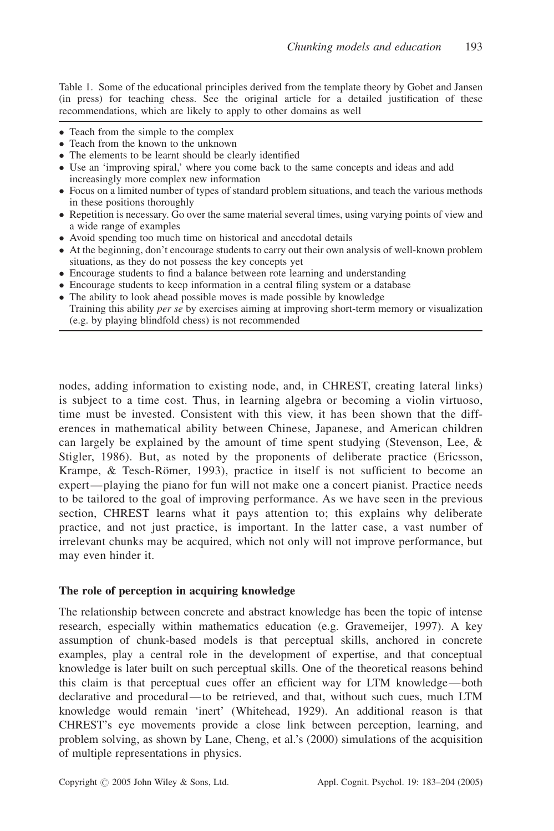Table 1. Some of the educational principles derived from the template theory by Gobet and Jansen (in press) for teaching chess. See the original article for a detailed justification of these recommendations, which are likely to apply to other domains as well

- Teach from the simple to the complex
- Teach from the known to the unknown
- The elements to be learnt should be clearly identified
- Use an 'improving spiral,' where you come back to the same concepts and ideas and add increasingly more complex new information
- Focus on a limited number of types of standard problem situations, and teach the various methods in these positions thoroughly
- Repetition is necessary. Go over the same material several times, using varying points of view and a wide range of examples
- Avoid spending too much time on historical and anecdotal details
- At the beginning, don't encourage students to carry out their own analysis of well-known problem situations, as they do not possess the key concepts yet
- Encourage students to find a balance between rote learning and understanding
- Encourage students to keep information in a central filing system or a database
- The ability to look ahead possible moves is made possible by knowledge Training this ability per se by exercises aiming at improving short-term memory or visualization (e.g. by playing blindfold chess) is not recommended

nodes, adding information to existing node, and, in CHREST, creating lateral links) is subject to a time cost. Thus, in learning algebra or becoming a violin virtuoso, time must be invested. Consistent with this view, it has been shown that the differences in mathematical ability between Chinese, Japanese, and American children can largely be explained by the amount of time spent studying (Stevenson, Lee,  $\&$ Stigler, 1986). But, as noted by the proponents of deliberate practice (Ericsson, Krampe, & Tesch-Römer, 1993), practice in itself is not sufficient to become an expert—playing the piano for fun will not make one a concert pianist. Practice needs to be tailored to the goal of improving performance. As we have seen in the previous section, CHREST learns what it pays attention to; this explains why deliberate practice, and not just practice, is important. In the latter case, a vast number of irrelevant chunks may be acquired, which not only will not improve performance, but may even hinder it.

#### The role of perception in acquiring knowledge

The relationship between concrete and abstract knowledge has been the topic of intense research, especially within mathematics education (e.g. Gravemeijer, 1997). A key assumption of chunk-based models is that perceptual skills, anchored in concrete examples, play a central role in the development of expertise, and that conceptual knowledge is later built on such perceptual skills. One of the theoretical reasons behind this claim is that perceptual cues offer an efficient way for LTM knowledge—both declarative and procedural—to be retrieved, and that, without such cues, much LTM knowledge would remain 'inert' (Whitehead, 1929). An additional reason is that CHREST's eye movements provide a close link between perception, learning, and problem solving, as shown by Lane, Cheng, et al.'s (2000) simulations of the acquisition of multiple representations in physics.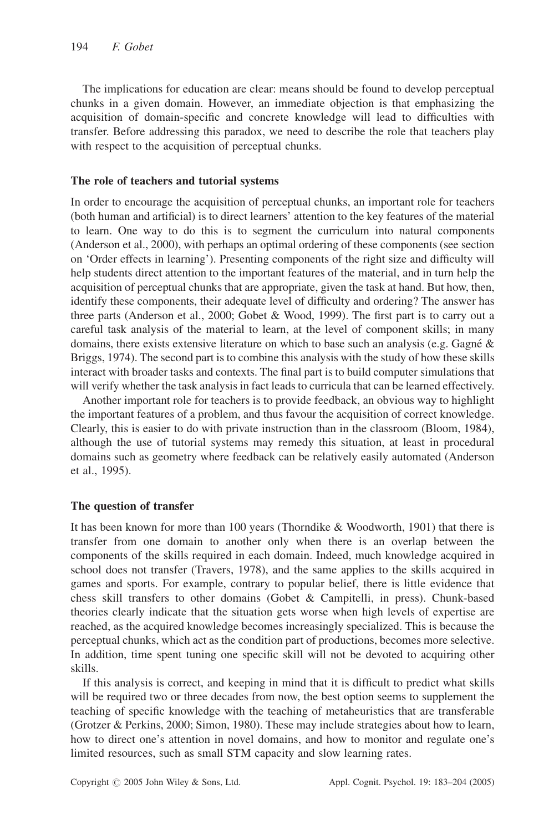The implications for education are clear: means should be found to develop perceptual chunks in a given domain. However, an immediate objection is that emphasizing the acquisition of domain-specific and concrete knowledge will lead to difficulties with transfer. Before addressing this paradox, we need to describe the role that teachers play with respect to the acquisition of perceptual chunks.

## The role of teachers and tutorial systems

In order to encourage the acquisition of perceptual chunks, an important role for teachers (both human and artificial) is to direct learners' attention to the key features of the material to learn. One way to do this is to segment the curriculum into natural components (Anderson et al., 2000), with perhaps an optimal ordering of these components (see section on 'Order effects in learning'). Presenting components of the right size and difficulty will help students direct attention to the important features of the material, and in turn help the acquisition of perceptual chunks that are appropriate, given the task at hand. But how, then, identify these components, their adequate level of difficulty and ordering? The answer has three parts (Anderson et al., 2000; Gobet & Wood, 1999). The first part is to carry out a careful task analysis of the material to learn, at the level of component skills; in many domains, there exists extensive literature on which to base such an analysis (e.g. Gagné  $\&$ Briggs, 1974). The second part is to combine this analysis with the study of how these skills interact with broader tasks and contexts. The final part is to build computer simulations that will verify whether the task analysis in fact leads to curricula that can be learned effectively.

Another important role for teachers is to provide feedback, an obvious way to highlight the important features of a problem, and thus favour the acquisition of correct knowledge. Clearly, this is easier to do with private instruction than in the classroom (Bloom, 1984), although the use of tutorial systems may remedy this situation, at least in procedural domains such as geometry where feedback can be relatively easily automated (Anderson et al., 1995).

## The question of transfer

It has been known for more than 100 years (Thorndike & Woodworth, 1901) that there is transfer from one domain to another only when there is an overlap between the components of the skills required in each domain. Indeed, much knowledge acquired in school does not transfer (Travers, 1978), and the same applies to the skills acquired in games and sports. For example, contrary to popular belief, there is little evidence that chess skill transfers to other domains (Gobet & Campitelli, in press). Chunk-based theories clearly indicate that the situation gets worse when high levels of expertise are reached, as the acquired knowledge becomes increasingly specialized. This is because the perceptual chunks, which act as the condition part of productions, becomes more selective. In addition, time spent tuning one specific skill will not be devoted to acquiring other skills.

If this analysis is correct, and keeping in mind that it is difficult to predict what skills will be required two or three decades from now, the best option seems to supplement the teaching of specific knowledge with the teaching of metaheuristics that are transferable (Grotzer & Perkins, 2000; Simon, 1980). These may include strategies about how to learn, how to direct one's attention in novel domains, and how to monitor and regulate one's limited resources, such as small STM capacity and slow learning rates.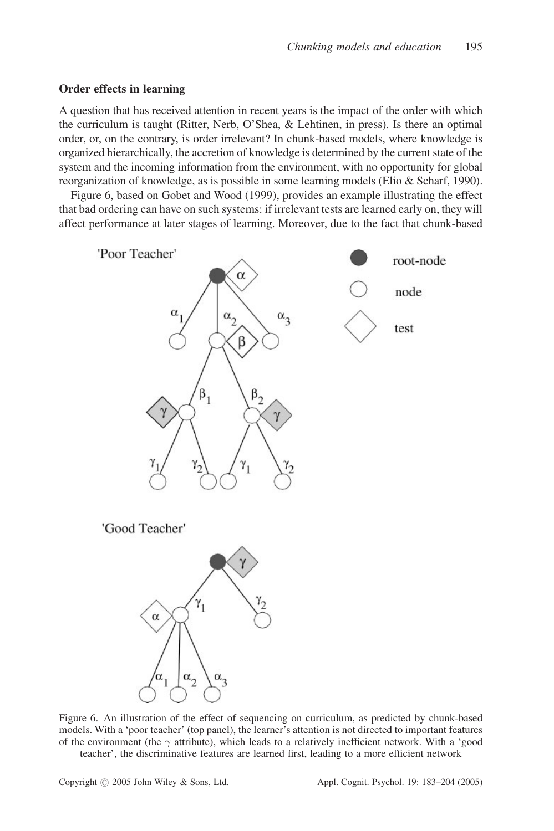### Order effects in learning

A question that has received attention in recent years is the impact of the order with which the curriculum is taught (Ritter, Nerb, O'Shea, & Lehtinen, in press). Is there an optimal order, or, on the contrary, is order irrelevant? In chunk-based models, where knowledge is organized hierarchically, the accretion of knowledge is determined by the current state of the system and the incoming information from the environment, with no opportunity for global reorganization of knowledge, as is possible in some learning models (Elio & Scharf, 1990).

Figure 6, based on Gobet and Wood (1999), provides an example illustrating the effect that bad ordering can have on such systems: if irrelevant tests are learned early on, they will affect performance at later stages of learning. Moreover, due to the fact that chunk-based



Figure 6. An illustration of the effect of sequencing on curriculum, as predicted by chunk-based models. With a 'poor teacher' (top panel), the learner's attention is not directed to important features of the environment (the  $\gamma$  attribute), which leads to a relatively inefficient network. With a 'good teacher', the discriminative features are learned first, leading to a more efficient network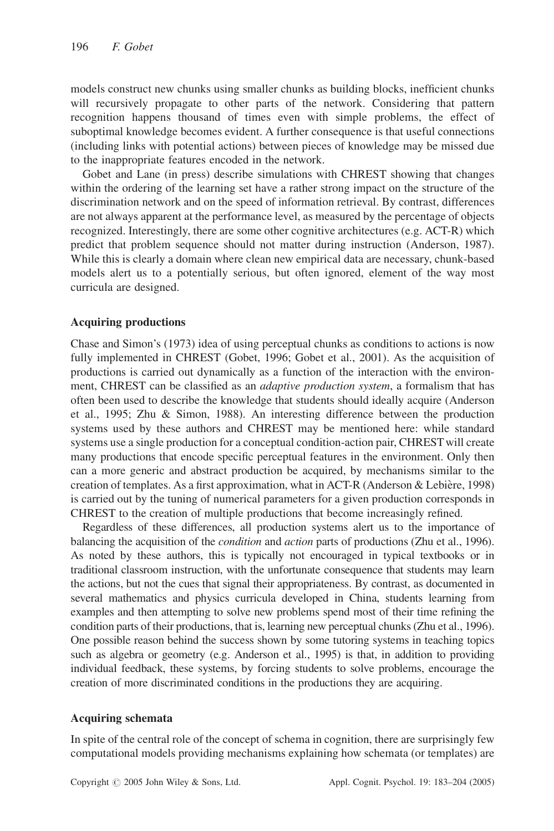models construct new chunks using smaller chunks as building blocks, inefficient chunks will recursively propagate to other parts of the network. Considering that pattern recognition happens thousand of times even with simple problems, the effect of suboptimal knowledge becomes evident. A further consequence is that useful connections (including links with potential actions) between pieces of knowledge may be missed due to the inappropriate features encoded in the network.

Gobet and Lane (in press) describe simulations with CHREST showing that changes within the ordering of the learning set have a rather strong impact on the structure of the discrimination network and on the speed of information retrieval. By contrast, differences are not always apparent at the performance level, as measured by the percentage of objects recognized. Interestingly, there are some other cognitive architectures (e.g. ACT-R) which predict that problem sequence should not matter during instruction (Anderson, 1987). While this is clearly a domain where clean new empirical data are necessary, chunk-based models alert us to a potentially serious, but often ignored, element of the way most curricula are designed.

## Acquiring productions

Chase and Simon's (1973) idea of using perceptual chunks as conditions to actions is now fully implemented in CHREST (Gobet, 1996; Gobet et al., 2001). As the acquisition of productions is carried out dynamically as a function of the interaction with the environment, CHREST can be classified as an *adaptive production system*, a formalism that has often been used to describe the knowledge that students should ideally acquire (Anderson et al., 1995; Zhu & Simon, 1988). An interesting difference between the production systems used by these authors and CHREST may be mentioned here: while standard systems use a single production for a conceptual condition-action pair, CHREST will create many productions that encode specific perceptual features in the environment. Only then can a more generic and abstract production be acquired, by mechanisms similar to the creation of templates. As a first approximation, what in ACT-R (Anderson & Lebière, 1998) is carried out by the tuning of numerical parameters for a given production corresponds in CHREST to the creation of multiple productions that become increasingly refined.

Regardless of these differences, all production systems alert us to the importance of balancing the acquisition of the condition and action parts of productions (Zhu et al., 1996). As noted by these authors, this is typically not encouraged in typical textbooks or in traditional classroom instruction, with the unfortunate consequence that students may learn the actions, but not the cues that signal their appropriateness. By contrast, as documented in several mathematics and physics curricula developed in China, students learning from examples and then attempting to solve new problems spend most of their time refining the condition parts of their productions, that is, learning new perceptual chunks (Zhu et al., 1996). One possible reason behind the success shown by some tutoring systems in teaching topics such as algebra or geometry (e.g. Anderson et al., 1995) is that, in addition to providing individual feedback, these systems, by forcing students to solve problems, encourage the creation of more discriminated conditions in the productions they are acquiring.

## Acquiring schemata

In spite of the central role of the concept of schema in cognition, there are surprisingly few computational models providing mechanisms explaining how schemata (or templates) are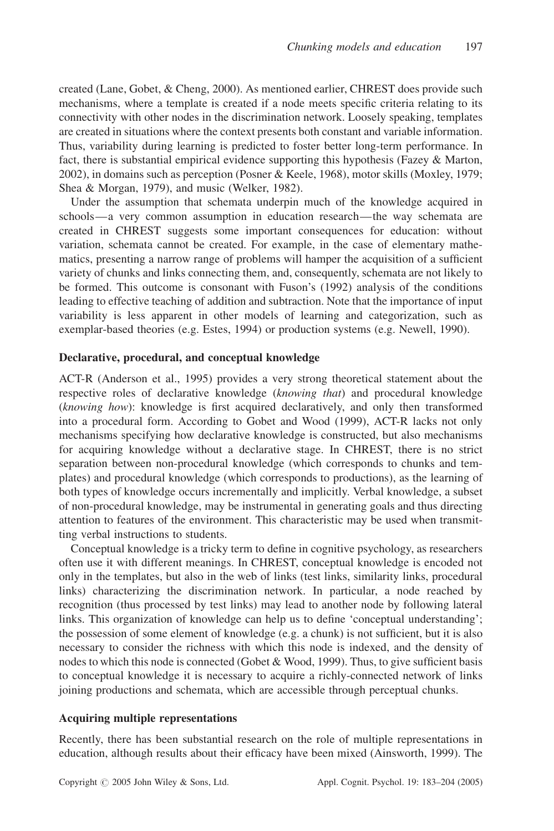created (Lane, Gobet, & Cheng, 2000). As mentioned earlier, CHREST does provide such mechanisms, where a template is created if a node meets specific criteria relating to its connectivity with other nodes in the discrimination network. Loosely speaking, templates are created in situations where the context presents both constant and variable information. Thus, variability during learning is predicted to foster better long-term performance. In fact, there is substantial empirical evidence supporting this hypothesis (Fazey & Marton, 2002), in domains such as perception (Posner & Keele, 1968), motor skills (Moxley, 1979; Shea & Morgan, 1979), and music (Welker, 1982).

Under the assumption that schemata underpin much of the knowledge acquired in schools—a very common assumption in education research—the way schemata are created in CHREST suggests some important consequences for education: without variation, schemata cannot be created. For example, in the case of elementary mathematics, presenting a narrow range of problems will hamper the acquisition of a sufficient variety of chunks and links connecting them, and, consequently, schemata are not likely to be formed. This outcome is consonant with Fuson's (1992) analysis of the conditions leading to effective teaching of addition and subtraction. Note that the importance of input variability is less apparent in other models of learning and categorization, such as exemplar-based theories (e.g. Estes, 1994) or production systems (e.g. Newell, 1990).

## Declarative, procedural, and conceptual knowledge

ACT-R (Anderson et al., 1995) provides a very strong theoretical statement about the respective roles of declarative knowledge (knowing that) and procedural knowledge (knowing how): knowledge is first acquired declaratively, and only then transformed into a procedural form. According to Gobet and Wood (1999), ACT-R lacks not only mechanisms specifying how declarative knowledge is constructed, but also mechanisms for acquiring knowledge without a declarative stage. In CHREST, there is no strict separation between non-procedural knowledge (which corresponds to chunks and templates) and procedural knowledge (which corresponds to productions), as the learning of both types of knowledge occurs incrementally and implicitly. Verbal knowledge, a subset of non-procedural knowledge, may be instrumental in generating goals and thus directing attention to features of the environment. This characteristic may be used when transmitting verbal instructions to students.

Conceptual knowledge is a tricky term to define in cognitive psychology, as researchers often use it with different meanings. In CHREST, conceptual knowledge is encoded not only in the templates, but also in the web of links (test links, similarity links, procedural links) characterizing the discrimination network. In particular, a node reached by recognition (thus processed by test links) may lead to another node by following lateral links. This organization of knowledge can help us to define 'conceptual understanding'; the possession of some element of knowledge (e.g. a chunk) is not sufficient, but it is also necessary to consider the richness with which this node is indexed, and the density of nodes to which this node is connected (Gobet & Wood, 1999). Thus, to give sufficient basis to conceptual knowledge it is necessary to acquire a richly-connected network of links joining productions and schemata, which are accessible through perceptual chunks.

#### Acquiring multiple representations

Recently, there has been substantial research on the role of multiple representations in education, although results about their efficacy have been mixed (Ainsworth, 1999). The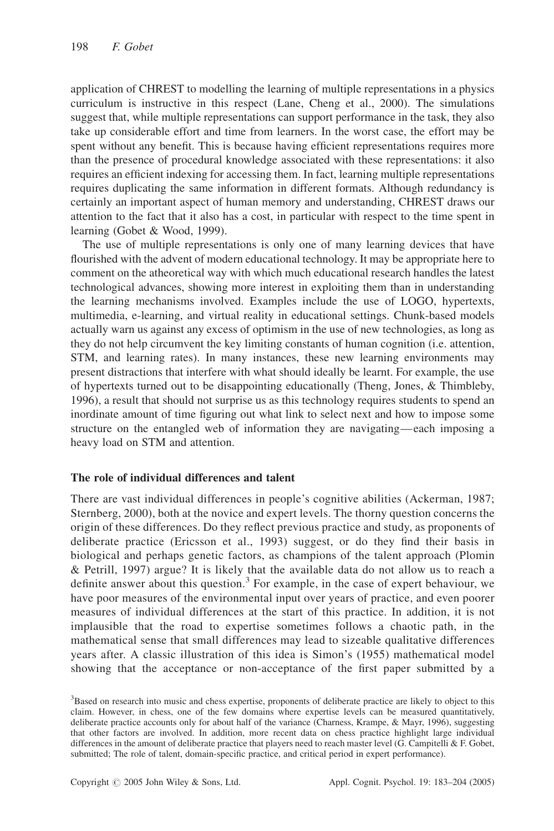application of CHREST to modelling the learning of multiple representations in a physics curriculum is instructive in this respect (Lane, Cheng et al., 2000). The simulations suggest that, while multiple representations can support performance in the task, they also take up considerable effort and time from learners. In the worst case, the effort may be spent without any benefit. This is because having efficient representations requires more than the presence of procedural knowledge associated with these representations: it also requires an efficient indexing for accessing them. In fact, learning multiple representations requires duplicating the same information in different formats. Although redundancy is certainly an important aspect of human memory and understanding, CHREST draws our attention to the fact that it also has a cost, in particular with respect to the time spent in learning (Gobet & Wood, 1999).

The use of multiple representations is only one of many learning devices that have flourished with the advent of modern educational technology. It may be appropriate here to comment on the atheoretical way with which much educational research handles the latest technological advances, showing more interest in exploiting them than in understanding the learning mechanisms involved. Examples include the use of LOGO, hypertexts, multimedia, e-learning, and virtual reality in educational settings. Chunk-based models actually warn us against any excess of optimism in the use of new technologies, as long as they do not help circumvent the key limiting constants of human cognition (i.e. attention, STM, and learning rates). In many instances, these new learning environments may present distractions that interfere with what should ideally be learnt. For example, the use of hypertexts turned out to be disappointing educationally (Theng, Jones, & Thimbleby, 1996), a result that should not surprise us as this technology requires students to spend an inordinate amount of time figuring out what link to select next and how to impose some structure on the entangled web of information they are navigating—each imposing a heavy load on STM and attention.

## The role of individual differences and talent

There are vast individual differences in people's cognitive abilities (Ackerman, 1987; Sternberg, 2000), both at the novice and expert levels. The thorny question concerns the origin of these differences. Do they reflect previous practice and study, as proponents of deliberate practice (Ericsson et al., 1993) suggest, or do they find their basis in biological and perhaps genetic factors, as champions of the talent approach (Plomin & Petrill, 1997) argue? It is likely that the available data do not allow us to reach a definite answer about this question.<sup>3</sup> For example, in the case of expert behaviour, we have poor measures of the environmental input over years of practice, and even poorer measures of individual differences at the start of this practice. In addition, it is not implausible that the road to expertise sometimes follows a chaotic path, in the mathematical sense that small differences may lead to sizeable qualitative differences years after. A classic illustration of this idea is Simon's (1955) mathematical model showing that the acceptance or non-acceptance of the first paper submitted by a

<sup>&</sup>lt;sup>3</sup>Based on research into music and chess expertise, proponents of deliberate practice are likely to object to this claim. However, in chess, one of the few domains where expertise levels can be measured quantitatively, deliberate practice accounts only for about half of the variance (Charness, Krampe, & Mayr, 1996), suggesting that other factors are involved. In addition, more recent data on chess practice highlight large individual differences in the amount of deliberate practice that players need to reach master level (G. Campitelli & F. Gobet, submitted; The role of talent, domain-specific practice, and critical period in expert performance).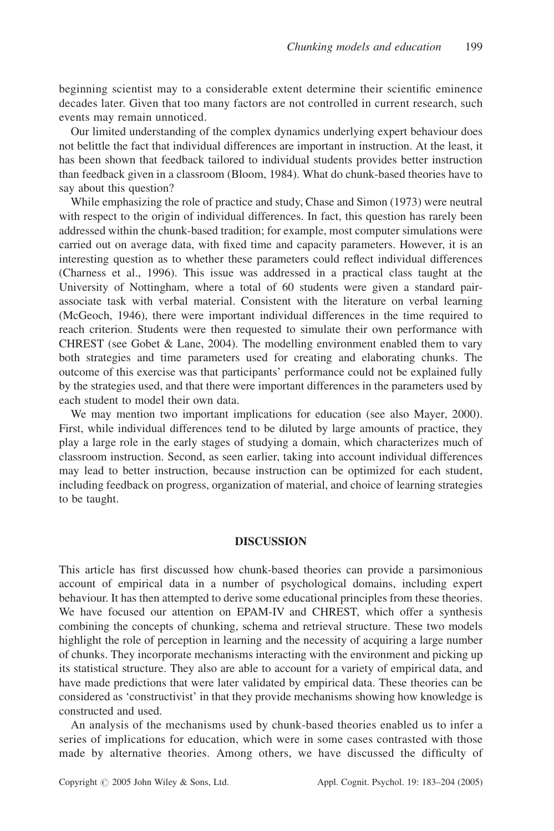beginning scientist may to a considerable extent determine their scientific eminence decades later. Given that too many factors are not controlled in current research, such events may remain unnoticed.

Our limited understanding of the complex dynamics underlying expert behaviour does not belittle the fact that individual differences are important in instruction. At the least, it has been shown that feedback tailored to individual students provides better instruction than feedback given in a classroom (Bloom, 1984). What do chunk-based theories have to say about this question?

While emphasizing the role of practice and study, Chase and Simon (1973) were neutral with respect to the origin of individual differences. In fact, this question has rarely been addressed within the chunk-based tradition; for example, most computer simulations were carried out on average data, with fixed time and capacity parameters. However, it is an interesting question as to whether these parameters could reflect individual differences (Charness et al., 1996). This issue was addressed in a practical class taught at the University of Nottingham, where a total of 60 students were given a standard pairassociate task with verbal material. Consistent with the literature on verbal learning (McGeoch, 1946), there were important individual differences in the time required to reach criterion. Students were then requested to simulate their own performance with CHREST (see Gobet  $&$  Lane, 2004). The modelling environment enabled them to vary both strategies and time parameters used for creating and elaborating chunks. The outcome of this exercise was that participants' performance could not be explained fully by the strategies used, and that there were important differences in the parameters used by each student to model their own data.

We may mention two important implications for education (see also Mayer, 2000). First, while individual differences tend to be diluted by large amounts of practice, they play a large role in the early stages of studying a domain, which characterizes much of classroom instruction. Second, as seen earlier, taking into account individual differences may lead to better instruction, because instruction can be optimized for each student, including feedback on progress, organization of material, and choice of learning strategies to be taught.

### **DISCUSSION**

This article has first discussed how chunk-based theories can provide a parsimonious account of empirical data in a number of psychological domains, including expert behaviour. It has then attempted to derive some educational principles from these theories. We have focused our attention on EPAM-IV and CHREST, which offer a synthesis combining the concepts of chunking, schema and retrieval structure. These two models highlight the role of perception in learning and the necessity of acquiring a large number of chunks. They incorporate mechanisms interacting with the environment and picking up its statistical structure. They also are able to account for a variety of empirical data, and have made predictions that were later validated by empirical data. These theories can be considered as 'constructivist' in that they provide mechanisms showing how knowledge is constructed and used.

An analysis of the mechanisms used by chunk-based theories enabled us to infer a series of implications for education, which were in some cases contrasted with those made by alternative theories. Among others, we have discussed the difficulty of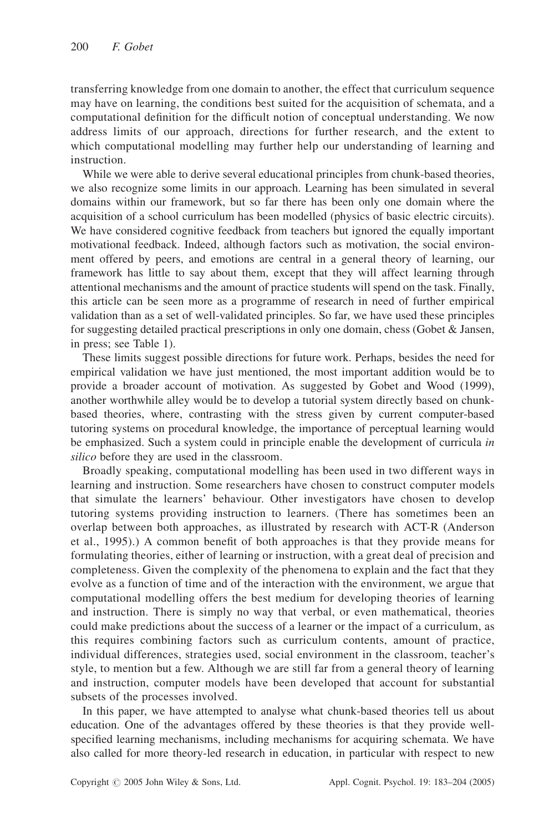transferring knowledge from one domain to another, the effect that curriculum sequence may have on learning, the conditions best suited for the acquisition of schemata, and a computational definition for the difficult notion of conceptual understanding. We now address limits of our approach, directions for further research, and the extent to which computational modelling may further help our understanding of learning and instruction.

While we were able to derive several educational principles from chunk-based theories, we also recognize some limits in our approach. Learning has been simulated in several domains within our framework, but so far there has been only one domain where the acquisition of a school curriculum has been modelled (physics of basic electric circuits). We have considered cognitive feedback from teachers but ignored the equally important motivational feedback. Indeed, although factors such as motivation, the social environment offered by peers, and emotions are central in a general theory of learning, our framework has little to say about them, except that they will affect learning through attentional mechanisms and the amount of practice students will spend on the task. Finally, this article can be seen more as a programme of research in need of further empirical validation than as a set of well-validated principles. So far, we have used these principles for suggesting detailed practical prescriptions in only one domain, chess (Gobet & Jansen, in press; see Table 1).

These limits suggest possible directions for future work. Perhaps, besides the need for empirical validation we have just mentioned, the most important addition would be to provide a broader account of motivation. As suggested by Gobet and Wood (1999), another worthwhile alley would be to develop a tutorial system directly based on chunkbased theories, where, contrasting with the stress given by current computer-based tutoring systems on procedural knowledge, the importance of perceptual learning would be emphasized. Such a system could in principle enable the development of curricula in silico before they are used in the classroom.

Broadly speaking, computational modelling has been used in two different ways in learning and instruction. Some researchers have chosen to construct computer models that simulate the learners' behaviour. Other investigators have chosen to develop tutoring systems providing instruction to learners. (There has sometimes been an overlap between both approaches, as illustrated by research with ACT-R (Anderson et al., 1995).) A common benefit of both approaches is that they provide means for formulating theories, either of learning or instruction, with a great deal of precision and completeness. Given the complexity of the phenomena to explain and the fact that they evolve as a function of time and of the interaction with the environment, we argue that computational modelling offers the best medium for developing theories of learning and instruction. There is simply no way that verbal, or even mathematical, theories could make predictions about the success of a learner or the impact of a curriculum, as this requires combining factors such as curriculum contents, amount of practice, individual differences, strategies used, social environment in the classroom, teacher's style, to mention but a few. Although we are still far from a general theory of learning and instruction, computer models have been developed that account for substantial subsets of the processes involved.

In this paper, we have attempted to analyse what chunk-based theories tell us about education. One of the advantages offered by these theories is that they provide wellspecified learning mechanisms, including mechanisms for acquiring schemata. We have also called for more theory-led research in education, in particular with respect to new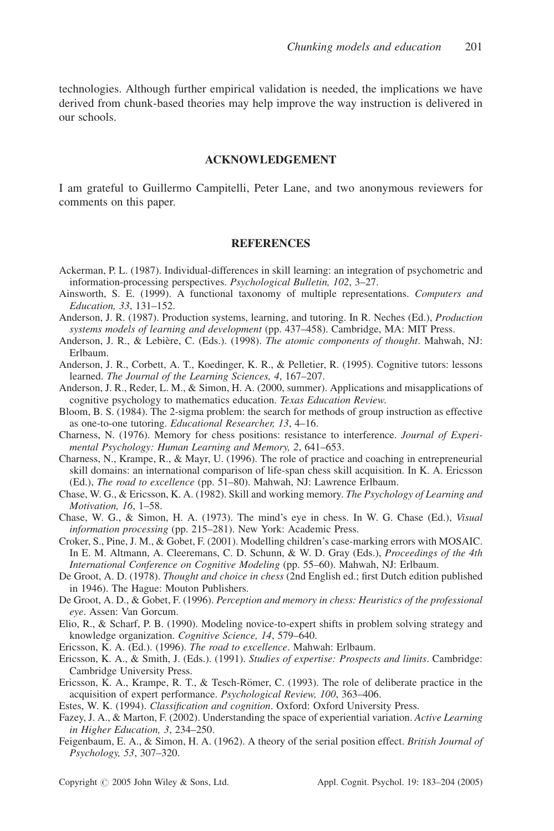technologies. Although further empirical validation is needed, the implications we have derived from chunk-based theories may help improve the way instruction is delivered in our schools.

#### ACKNOWLEDGEMENT

I am grateful to Guillermo Campitelli, Peter Lane, and two anonymous reviewers for comments on this paper.

#### **REFERENCES**

- Ackerman, P. L. (1987). Individual-differences in skill learning: an integration of psychometric and information-processing perspectives. Psychological Bulletin, 102, 3–27.
- Ainsworth, S. E. (1999). A functional taxonomy of multiple representations. Computers and Education, 33, 131–152.
- Anderson, J. R. (1987). Production systems, learning, and tutoring. In R. Neches (Ed.), Production systems models of learning and development (pp. 437–458). Cambridge, MA: MIT Press.
- Anderson, J. R., & Lebière, C. (Eds.). (1998). The atomic components of thought. Mahwah, NJ: Erlbaum.
- Anderson, J. R., Corbett, A. T., Koedinger, K. R., & Pelletier, R. (1995). Cognitive tutors: lessons learned. The Journal of the Learning Sciences, 4, 167–207.
- Anderson, J. R., Reder, L. M., & Simon, H. A. (2000, summer). Applications and misapplications of cognitive psychology to mathematics education. Texas Education Review.
- Bloom, B. S. (1984). The 2-sigma problem: the search for methods of group instruction as effective as one-to-one tutoring. Educational Researcher, 13, 4–16.
- Charness, N. (1976). Memory for chess positions: resistance to interference. Journal of Experimental Psychology: Human Learning and Memory, 2, 641–653.
- Charness, N., Krampe, R., & Mayr, U. (1996). The role of practice and coaching in entrepreneurial skill domains: an international comparison of life-span chess skill acquisition. In K. A. Ericsson (Ed.), The road to excellence (pp. 51-80). Mahwah, NJ: Lawrence Erlbaum.
- Chase, W. G., & Ericsson, K. A. (1982). Skill and working memory. The Psychology of Learning and Motivation, 16, 1–58.
- Chase, W. G., & Simon, H. A. (1973). The mind's eye in chess. In W. G. Chase (Ed.), Visual information processing (pp. 215–281). New York: Academic Press.
- Croker, S., Pine, J. M., & Gobet, F. (2001). Modelling children's case-marking errors with MOSAIC. In E. M. Altmann, A. Cleeremans, C. D. Schunn, & W. D. Gray (Eds.), *Proceedings of the 4th* International Conference on Cognitive Modeling (pp. 55–60). Mahwah, NJ: Erlbaum.
- De Groot, A. D. (1978). Thought and choice in chess (2nd English ed.; first Dutch edition published in 1946). The Hague: Mouton Publishers.
- De Groot, A. D., & Gobet, F. (1996). Perception and memory in chess: Heuristics of the professional eye. Assen: Van Gorcum.
- Elio, R., & Scharf, P. B. (1990). Modeling novice-to-expert shifts in problem solving strategy and knowledge organization. Cognitive Science, 14, 579-640.
- Ericsson, K. A. (Ed.). (1996). The road to excellence. Mahwah: Erlbaum.
- Ericsson, K. A., & Smith, J. (Eds.). (1991). Studies of expertise: Prospects and limits. Cambridge: Cambridge University Press.
- Ericsson, K. A., Krampe, R. T., & Tesch-Römer, C. (1993). The role of deliberate practice in the acquisition of expert performance. Psychological Review, 100, 363-406.
- Estes, W. K. (1994). Classification and cognition. Oxford: Oxford University Press.
- Fazey, J. A., & Marton, F. (2002). Understanding the space of experiential variation. Active Learning in Higher Education, 3, 234–250.
- Feigenbaum, E. A., & Simon, H. A. (1962). A theory of the serial position effect. British Journal of Psychology, 53, 307–320.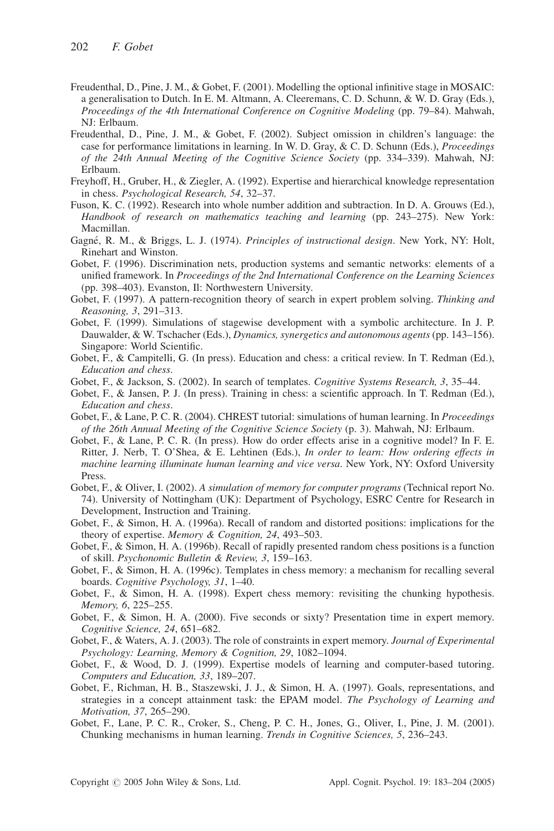- Freudenthal, D., Pine, J. M., & Gobet, F. (2001). Modelling the optional infinitive stage in MOSAIC: a generalisation to Dutch. In E. M. Altmann, A. Cleeremans, C. D. Schunn, & W. D. Gray (Eds.), Proceedings of the 4th International Conference on Cognitive Modeling (pp. 79–84). Mahwah, NJ: Erlbaum.
- Freudenthal, D., Pine, J. M., & Gobet, F. (2002). Subject omission in children's language: the case for performance limitations in learning. In W. D. Gray, & C. D. Schunn (Eds.), *Proceedings* of the 24th Annual Meeting of the Cognitive Science Society (pp. 334–339). Mahwah, NJ: Erlbaum.
- Freyhoff, H., Gruber, H., & Ziegler, A. (1992). Expertise and hierarchical knowledge representation in chess. Psychological Research, 54, 32–37.
- Fuson, K. C. (1992). Research into whole number addition and subtraction. In D. A. Grouws (Ed.), Handbook of research on mathematics teaching and learning (pp. 243–275). New York: Macmillan.
- Gagné, R. M., & Briggs, L. J. (1974). Principles of instructional design. New York, NY: Holt, Rinehart and Winston.
- Gobet, F. (1996). Discrimination nets, production systems and semantic networks: elements of a unified framework. In Proceedings of the 2nd International Conference on the Learning Sciences (pp. 398–403). Evanston, Il: Northwestern University.
- Gobet, F. (1997). A pattern-recognition theory of search in expert problem solving. Thinking and Reasoning, 3, 291–313.
- Gobet, F. (1999). Simulations of stagewise development with a symbolic architecture. In J. P. Dauwalder, & W. Tschacher (Eds.), *Dynamics, synergetics and autonomous agents* (pp. 143–156). Singapore: World Scientific.
- Gobet, F., & Campitelli, G. (In press). Education and chess: a critical review. In T. Redman (Ed.), Education and chess.
- Gobet, F., & Jackson, S. (2002). In search of templates. Cognitive Systems Research, 3, 35–44.
- Gobet, F., & Jansen, P. J. (In press). Training in chess: a scientific approach. In T. Redman (Ed.), Education and chess.
- Gobet, F., & Lane, P. C. R. (2004). CHREST tutorial: simulations of human learning. In *Proceedings* of the 26th Annual Meeting of the Cognitive Science Society (p. 3). Mahwah, NJ: Erlbaum.
- Gobet, F., & Lane, P. C. R. (In press). How do order effects arise in a cognitive model? In F. E. Ritter, J. Nerb, T. O'Shea, & E. Lehtinen (Eds.), In order to learn: How ordering effects in machine learning illuminate human learning and vice versa. New York, NY: Oxford University Press.
- Gobet, F., & Oliver, I. (2002). A simulation of memory for computer programs (Technical report No. 74). University of Nottingham (UK): Department of Psychology, ESRC Centre for Research in Development, Instruction and Training.
- Gobet, F., & Simon, H. A. (1996a). Recall of random and distorted positions: implications for the theory of expertise. Memory & Cognition, 24, 493–503.
- Gobet, F., & Simon, H. A. (1996b). Recall of rapidly presented random chess positions is a function of skill. Psychonomic Bulletin & Review, 3, 159–163.
- Gobet, F., & Simon, H. A. (1996c). Templates in chess memory: a mechanism for recalling several boards. Cognitive Psychology, 31, 1–40.
- Gobet, F., & Simon, H. A. (1998). Expert chess memory: revisiting the chunking hypothesis. Memory, 6, 225–255.
- Gobet, F., & Simon, H. A. (2000). Five seconds or sixty? Presentation time in expert memory. Cognitive Science, 24, 651–682.
- Gobet, F., & Waters, A. J. (2003). The role of constraints in expert memory. Journal of Experimental Psychology: Learning, Memory & Cognition, 29, 1082–1094.
- Gobet, F., & Wood, D. J. (1999). Expertise models of learning and computer-based tutoring. Computers and Education, 33, 189–207.
- Gobet, F., Richman, H. B., Staszewski, J. J., & Simon, H. A. (1997). Goals, representations, and strategies in a concept attainment task: the EPAM model. The Psychology of Learning and Motivation, 37, 265–290.
- Gobet, F., Lane, P. C. R., Croker, S., Cheng, P. C. H., Jones, G., Oliver, I., Pine, J. M. (2001). Chunking mechanisms in human learning. Trends in Cognitive Sciences, 5, 236–243.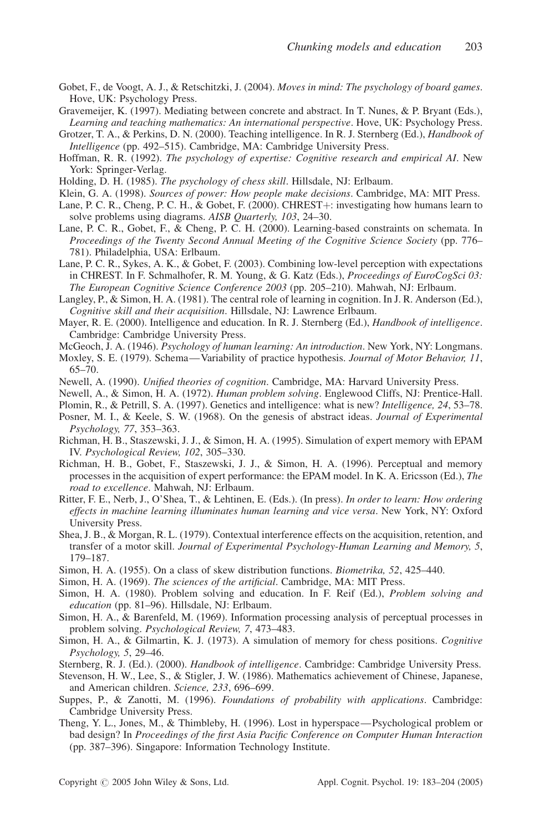- Gobet, F., de Voogt, A. J., & Retschitzki, J. (2004). Moves in mind: The psychology of board games. Hove, UK: Psychology Press.
- Gravemeijer, K. (1997). Mediating between concrete and abstract. In T. Nunes, & P. Bryant (Eds.), Learning and teaching mathematics: An international perspective. Hove, UK: Psychology Press.
- Grotzer, T. A., & Perkins, D. N. (2000). Teaching intelligence. In R. J. Sternberg (Ed.), *Handbook of* Intelligence (pp. 492–515). Cambridge, MA: Cambridge University Press.
- Hoffman, R. R. (1992). The psychology of expertise: Cognitive research and empirical AI. New York: Springer-Verlag.
- Holding, D. H. (1985). The psychology of chess skill. Hillsdale, NJ: Erlbaum.
- Klein, G. A. (1998). Sources of power: How people make decisions. Cambridge, MA: MIT Press.
- Lane, P. C. R., Cheng, P. C. H., & Gobet, F. (2000). CHREST +: investigating how humans learn to solve problems using diagrams. AISB Quarterly, 103, 24–30.
- Lane, P. C. R., Gobet, F., & Cheng, P. C. H. (2000). Learning-based constraints on schemata. In Proceedings of the Twenty Second Annual Meeting of the Cognitive Science Society (pp. 776– 781). Philadelphia, USA: Erlbaum.
- Lane, P. C. R., Sykes, A. K., & Gobet, F. (2003). Combining low-level perception with expectations in CHREST. In F. Schmalhofer, R. M. Young, & G. Katz (Eds.), Proceedings of EuroCogSci 03: The European Cognitive Science Conference 2003 (pp. 205–210). Mahwah, NJ: Erlbaum.
- Langley, P., & Simon, H. A. (1981). The central role of learning in cognition. In J. R. Anderson (Ed.), Cognitive skill and their acquisition. Hillsdale, NJ: Lawrence Erlbaum.
- Mayer, R. E. (2000). Intelligence and education. In R. J. Sternberg (Ed.), *Handbook of intelligence*. Cambridge: Cambridge University Press.
- McGeoch, J. A. (1946). Psychology of human learning: An introduction. New York, NY: Longmans.
- Moxley, S. E. (1979). Schema—Variability of practice hypothesis. Journal of Motor Behavior, 11, 65–70.
- Newell, A. (1990). Unified theories of cognition. Cambridge, MA: Harvard University Press.
- Newell, A., & Simon, H. A. (1972). Human problem solving. Englewood Cliffs, NJ: Prentice-Hall.
- Plomin, R., & Petrill, S. A. (1997). Genetics and intelligence: what is new? Intelligence, 24, 53–78.
- Posner, M. I., & Keele, S. W. (1968). On the genesis of abstract ideas. Journal of Experimental Psychology, 77, 353–363.
- Richman, H. B., Staszewski, J. J., & Simon, H. A. (1995). Simulation of expert memory with EPAM IV. Psychological Review, 102, 305–330.
- Richman, H. B., Gobet, F., Staszewski, J. J., & Simon, H. A. (1996). Perceptual and memory processes in the acquisition of expert performance: the EPAM model. In K. A. Ericsson (Ed.), The road to excellence. Mahwah, NJ: Erlbaum.
- Ritter, F. E., Nerb, J., O'Shea, T., & Lehtinen, E. (Eds.). (In press). In order to learn: How ordering effects in machine learning illuminates human learning and vice versa. New York, NY: Oxford University Press.
- Shea, J. B., & Morgan, R. L. (1979). Contextual interference effects on the acquisition, retention, and transfer of a motor skill. Journal of Experimental Psychology-Human Learning and Memory, 5, 179–187.
- Simon, H. A. (1955). On a class of skew distribution functions. *Biometrika*, 52, 425–440.
- Simon, H. A. (1969). The sciences of the artificial. Cambridge, MA: MIT Press.
- Simon, H. A. (1980). Problem solving and education. In F. Reif (Ed.), Problem solving and education (pp. 81–96). Hillsdale, NJ: Erlbaum.
- Simon, H. A., & Barenfeld, M. (1969). Information processing analysis of perceptual processes in problem solving. Psychological Review, 7, 473–483.
- Simon, H. A., & Gilmartin, K. J. (1973). A simulation of memory for chess positions. Cognitive Psychology, 5, 29–46.
- Sternberg, R. J. (Ed.). (2000). Handbook of intelligence. Cambridge: Cambridge University Press.
- Stevenson, H. W., Lee, S., & Stigler, J. W. (1986). Mathematics achievement of Chinese, Japanese, and American children. Science, 233, 696–699.
- Suppes, P., & Zanotti, M. (1996). Foundations of probability with applications. Cambridge: Cambridge University Press.
- Theng, Y. L., Jones, M., & Thimbleby, H. (1996). Lost in hyperspace—Psychological problem or bad design? In Proceedings of the first Asia Pacific Conference on Computer Human Interaction (pp. 387–396). Singapore: Information Technology Institute.